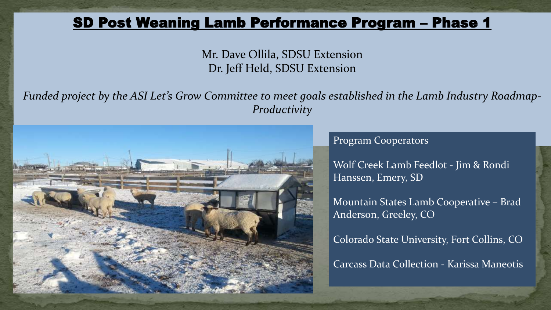#### SD Post Weaning Lamb Performance Program – Phase 1

Mr. Dave Ollila, SDSU Extension Dr. Jeff Held, SDSU Extension

*Funded project by the ASI Let's Grow Committee to meet goals established in the Lamb Industry Roadmap-Productivity* 



Program Cooperators

Wolf Creek Lamb Feedlot - Jim & Rondi Hanssen, Emery, SD

Mountain States Lamb Cooperative – Brad Anderson, Greeley, CO

Colorado State University, Fort Collins, CO Carcass Data Collection - Karissa Maneotis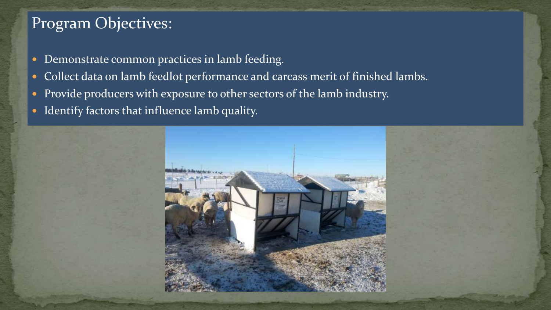## Program Objectives:

- **Demonstrate common practices in lamb feeding.**
- Collect data on lamb feedlot performance and carcass merit of finished lambs.
- Provide producers with exposure to other sectors of the lamb industry.
- Identify factors that influence lamb quality.

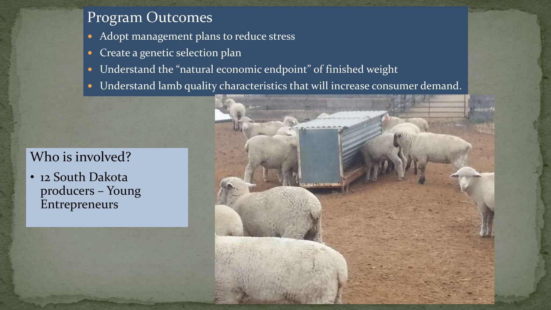### Program Outcomes

- Adopt management plans to reduce stress
- Create a genetic selection plan
- Understand the "natural economic endpoint" of finished weight
- Understand lamb quality characteristics that will increase consumer demand.

### Who is involved?

• 12 South Dakota producers – Young Entrepreneurs

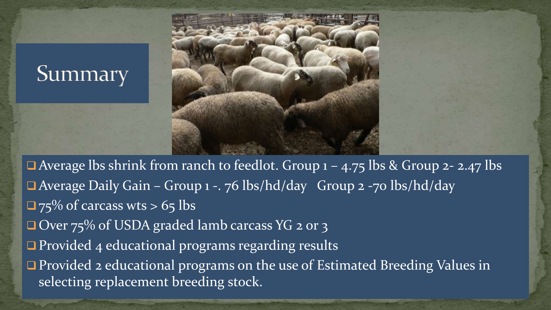# Summary



□ Average lbs shrink from ranch to feedlot. Group 1 – 4.75 lbs & Group 2- 2.47 lbs ■ Average Daily Gain – Group 1 -. 76 lbs/hd/day Group 2 -70 lbs/hd/day  $\Box$  75% of carcass wts > 65 lbs □ Over 75% of USDA graded lamb carcass YG 2 or 3  $\Box$  Provided 4 educational programs regarding results **Provided 2 educational programs on the use of Estimated Breeding Values in** selecting replacement breeding stock.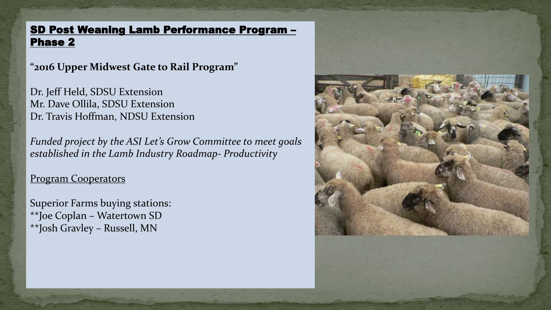#### SD Post Weaning Lamb Performance Program – Phase 2

**"2016 Upper Midwest Gate to Rail Program"**

Dr. Jeff Held, SDSU Extension Mr. Dave Ollila, SDSU Extension Dr. Travis Hoffman, NDSU Extension

*Funded project by the ASI Let's Grow Committee to meet goals established in the Lamb Industry Roadmap- Productivity* 

Program Cooperators

Superior Farms buying stations: \*\*Joe Coplan – Watertown SD \*\*Josh Gravley – Russell, MN

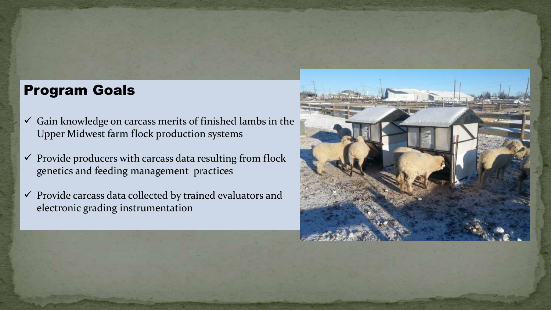#### Program Goals

- $\checkmark$  Gain knowledge on carcass merits of finished lambs in the Upper Midwest farm flock production systems
- $\checkmark$  Provide producers with carcass data resulting from flock genetics and feeding management practices
- $\checkmark$  Provide carcass data collected by trained evaluators and electronic grading instrumentation

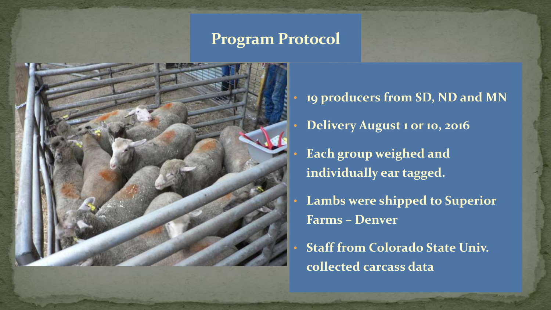### **Program Protocol**



- **19 producers from SD, ND and MN**  • **Delivery August 1 or 10, 2016** • **Each group weighed and individually ear tagged.** • **Lambs were shipped to Superior Farms – Denver**
- **Staff from Colorado State Univ. collected carcass data**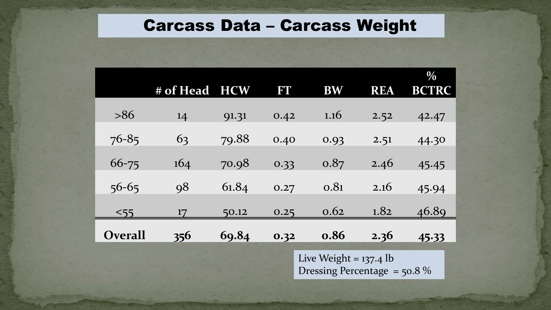## Carcass Data – Carcass Weight

|                | # of Head                                                  | <b>HCW</b> | FT   | <b>BW</b> | <b>REA</b> | $\frac{0}{0}$<br><b>BCTRC</b> |
|----------------|------------------------------------------------------------|------------|------|-----------|------------|-------------------------------|
| >86            | 14                                                         | 91.31      | 0.42 | 1.16      | 2.52       | 42.47                         |
| $76 - 85$      | 63                                                         | 79.88      | 0.40 | 0.93      | 2.51       | 44.30                         |
| $66 - 75$      | 164                                                        | 70.98      | 0.33 | 0.87      | 2.46       | 45.45                         |
| $56 - 65$      | 98                                                         | 61.84      | 0.27 | 0.81      | 2.16       | 45.94                         |
| $<$ 55         | 17                                                         | 50.12      | 0.25 | 0.62      | 1.82       | 46.89                         |
| <b>Overall</b> | 356                                                        | 69.84      | 0.32 | 0.86      | 2.36       | 45.33                         |
|                | Live Weight = $137.4$ lb<br>Dressing Percentage = $50.8\%$ |            |      |           |            |                               |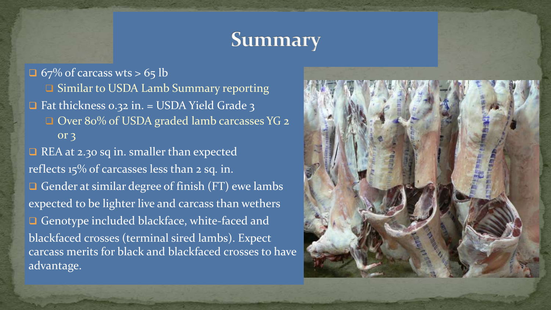## Summary

 $\Box$  67% of carcass wts > 65 lb

**□ Similar to USDA Lamb Summary reporting** 

 $\Box$  Fat thickness 0.32 in. = USDA Yield Grade 3

□ Over 80% of USDA graded lamb carcasses YG 2 or 3

REA at 2.30 sq in. smaller than expected reflects 15% of carcasses less than 2 sq. in. Gender at similar degree of finish  $(FT)$  ewe lambs expected to be lighter live and carcass than wethers Genotype included blackface, white-faced and blackfaced crosses (terminal sired lambs). Expect carcass merits for black and blackfaced crosses to have advantage.

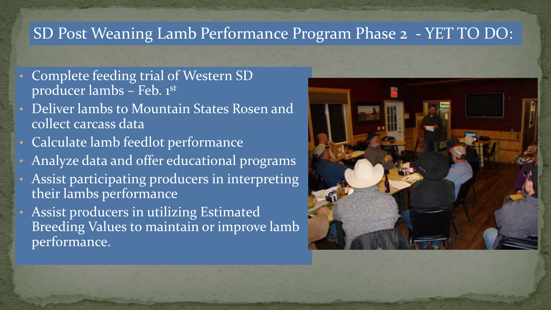## SD Post Weaning Lamb Performance Program Phase 2 - YET TO DO:

- Complete feeding trial of Western SD producer lambs – Feb. 1st
- Deliver lambs to Mountain States Rosen and collect carcass data
- Calculate lamb feedlot performance
- Analyze data and offer educational programs
- Assist participating producers in interpreting their lambs performance
- Assist producers in utilizing Estimated Breeding Values to maintain or improve lamb performance.